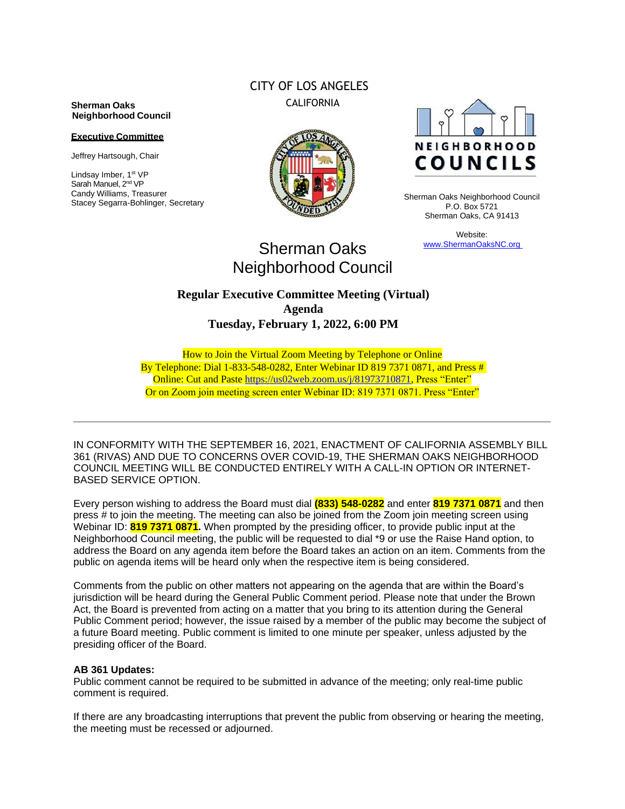### **Sherman Oaks Neighborhood Council**

#### **Executive Committee**

Jeffrey Hartsough, Chair

Lindsay Imber, 1st VP Sarah Manuel, 2<sup>nd</sup> VP Candy Williams, Treasurer Stacey Segarra-Bohlinger, Secretary

# CITY OF LOS ANGELES CALIFORNIA





Sherman Oaks Neighborhood Council P.O. Box 5721 Sherman Oaks, CA 91413

> Website: www.ShermanOaksNC.org

# Sherman Oaks Neighborhood Council

## **Regular Executive Committee Meeting (Virtual) Agenda Tuesday, February 1, 2022, 6:00 PM**

How to Join the Virtual Zoom Meeting by Telephone or Online By Telephone: Dial 1-833-548-0282, Enter Webinar ID 819 7371 0871, and Press # Online: Cut and Paste [https://us02web.zoom.us/j/81973710871,](https://us02web.zoom.us/j/81973710871) Press "Enter" Or on Zoom join meeting screen enter Webinar ID: 819 7371 0871. Press "Enter"

IN CONFORMITY WITH THE SEPTEMBER 16, 2021, ENACTMENT OF CALIFORNIA ASSEMBLY BILL 361 (RIVAS) AND DUE TO CONCERNS OVER COVID-19, THE SHERMAN OAKS NEIGHBORHOOD COUNCIL MEETING WILL BE CONDUCTED ENTIRELY WITH A CALL-IN OPTION OR INTERNET-BASED SERVICE OPTION.

Every person wishing to address the Board must dial **(833) 548-0282** and enter **819 7371 0871** and then press # to join the meeting. The meeting can also be joined from the Zoom join meeting screen using Webinar ID: **819 7371 0871.** When prompted by the presiding officer, to provide public input at the Neighborhood Council meeting, the public will be requested to dial \*9 or use the Raise Hand option, to address the Board on any agenda item before the Board takes an action on an item. Comments from the public on agenda items will be heard only when the respective item is being considered.

Comments from the public on other matters not appearing on the agenda that are within the Board's jurisdiction will be heard during the General Public Comment period. Please note that under the Brown Act, the Board is prevented from acting on a matter that you bring to its attention during the General Public Comment period; however, the issue raised by a member of the public may become the subject of a future Board meeting. Public comment is limited to one minute per speaker, unless adjusted by the presiding officer of the Board.

### **AB 361 Updates:**

Public comment cannot be required to be submitted in advance of the meeting; only real-time public comment is required.

If there are any broadcasting interruptions that prevent the public from observing or hearing the meeting, the meeting must be recessed or adjourned.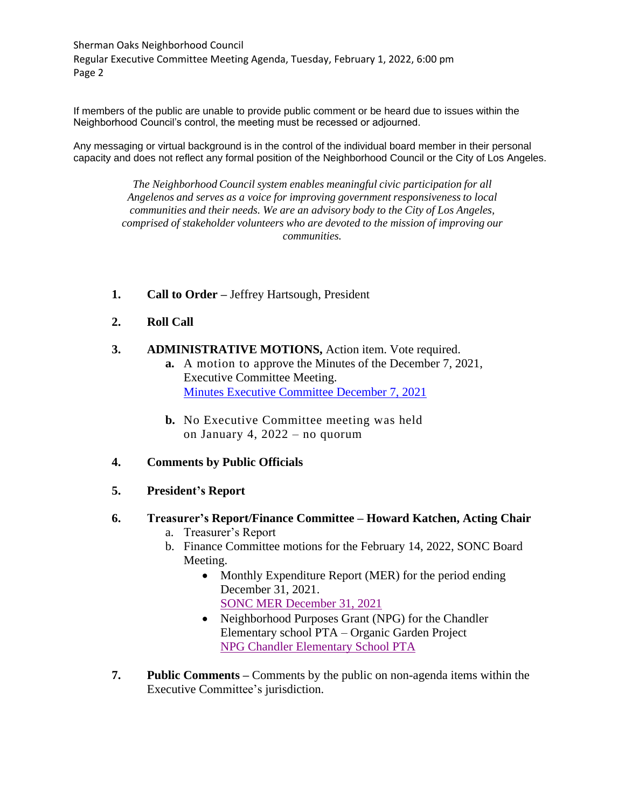Sherman Oaks Neighborhood Council Regular Executive Committee Meeting Agenda, Tuesday, February 1, 2022, 6:00 pm Page 2

If members of the public are unable to provide public comment or be heard due to issues within the Neighborhood Council's control, the meeting must be recessed or adjourned.

Any messaging or virtual background is in the control of the individual board member in their personal capacity and does not reflect any formal position of the Neighborhood Council or the City of Los Angeles.

*The Neighborhood Council system enables meaningful civic participation for all Angelenos and serves as a voice for improving government responsivenessto local communities and their needs. We are an advisory body to the City of Los Angeles, comprised of stakeholder volunteers who are devoted to the mission of improving our communities.*

- **1. Call to Order –** Jeffrey Hartsough, President
- **2. Roll Call**
- **3. ADMINISTRATIVE MOTIONS,** Action item. Vote required.
	- **a.** A motion to approve the Minutes of the December 7, 2021, Executive Committee Meeting. [Minutes Executive Committee December 7, 2021](https://www.shermanoaksnc.org/ncfiles/viewCommitteeFile/28290)
	- **b.** No Executive Committee meeting was held on January 4, 2022 – no quorum
- **4. Comments by Public Officials**
- **5. President's Report**

### **6. Treasurer's Report/Finance Committee – Howard Katchen, Acting Chair**

- a. Treasurer's Report
- b. Finance Committee motions for the February 14, 2022, SONC Board Meeting.
	- Monthly Expenditure Report (MER) for the period ending December 31, 2021. [SONC MER December 31, 2021](https://www.shermanoaksnc.org/ncfiles/viewCommitteeFile/28289)
	- Neighborhood Purposes Grant (NPG) for the Chandler Elementary school PTA – Organic Garden Project [NPG Chandler Elementary School PTA](https://www.shermanoaksnc.org/ncfiles/viewCommitteeFile/28288)
- **7. Public Comments –** Comments by the public on non-agenda items within the Executive Committee's jurisdiction.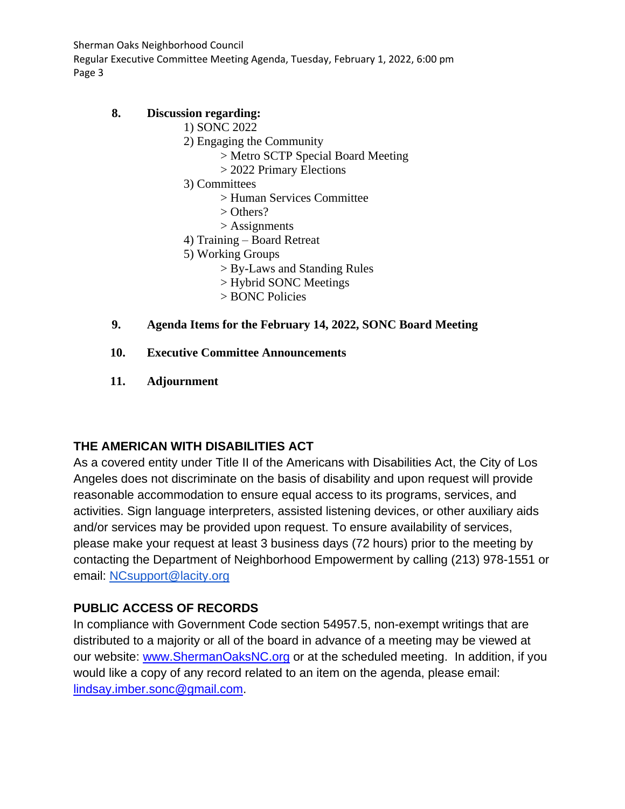Sherman Oaks Neighborhood Council Regular Executive Committee Meeting Agenda, Tuesday, February 1, 2022, 6:00 pm

Page 3

## **8. Discussion regarding:**

- 1) SONC 2022
	- 2) Engaging the Community
		- > Metro SCTP Special Board Meeting
		- > 2022 Primary Elections
	- 3) Committees
		- > Human Services Committee
		- > Others?
		- > Assignments
	- 4) Training Board Retreat
	- 5) Working Groups
		- > By-Laws and Standing Rules
		- > Hybrid SONC Meetings
		- > BONC Policies

## **9. Agenda Items for the February 14, 2022, SONC Board Meeting**

- **10. Executive Committee Announcements**
- **11. Adjournment**

# **THE AMERICAN WITH DISABILITIES ACT**

As a covered entity under Title II of the Americans with Disabilities Act, the City of Los Angeles does not discriminate on the basis of disability and upon request will provide reasonable accommodation to ensure equal access to its programs, services, and activities. Sign language interpreters, assisted listening devices, or other auxiliary aids and/or services may be provided upon request. To ensure availability of services, please make your request at least 3 business days (72 hours) prior to the meeting by contacting the Department of Neighborhood Empowerment by calling (213) 978-1551 or email: [NCsupport@lacity.org](mailto:NCsupport@lacity.org)

# **PUBLIC ACCESS OF RECORDS**

In compliance with Government Code section 54957.5, non-exempt writings that are distributed to a majority or all of the board in advance of a meeting may be viewed at our website: [www.ShermanOaksNC.org](http://www.shermanoaksnc.org/) or at the scheduled meeting. In addition, if you would like a copy of any record related to an item on the agenda, please email: [lindsay.imber.sonc@gmail.com.](mailto:lindsay.imber.sonc@gmail.com)